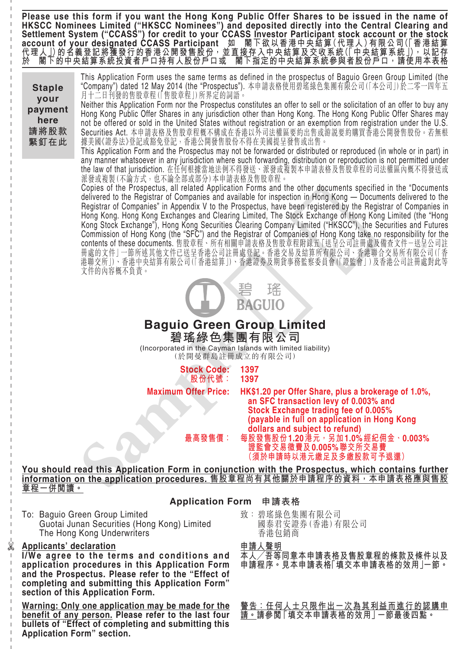**Please use this form if you want the Hong Kong Public Offer Shares to be issued in the name of HKSCC Nominees Limited ("HKSCC Nominees") and deposited directly into the Central Clearing and Settlement System ("CCASS") for credit to your CCASS Investor Participant stock account or the stock account of your designated CCASS Participant 如 閣下欲以香港中央結算(代理人)有限公司(「香港結算 代理人」)的名義登記將獲發行的香港公開發售股份,並直接存入中央結算及交收系統(「中央結算系統」),以記存 於 閣下的中央結算系統投資者戶口持有人股份戶口或 閣下指定的中央結算系統參與者股份戶口,請使用本表格**

This Application Form uses the same terms as defined in the prospectus of Baguio Green Group Limited (the "Company") dated 12 May 2014 (the "Prospectus"). 本申請表格使用碧瑤綠色集團有限公司(「本公司」)於二零一四年五 月十二日刊發的售股章程(「售股章程」)所界定的詞語。 **Staple your**

Neither this Application Form nor the Prospectus constitutes an offer to sell or the solicitation of an offer to buy any Hong Kong Public Offer Shares in any jurisdiction other than Hong Kong. The Hong Kong Public Offer Shares may not be offered or sold in the United States without registration or an exemption from registration under the U.S. Securities Act. 本申請表格及售股章程概不構成在香港以外司法權區要約出售或游說要約購買香港公開發售股份。若無根 據美國《證券法》登記或豁免登記,香港公開發售股份不得在美國提呈發售或出售。 **payment here 請將股款 緊釘在此**

This Application Form and the Prospectus may not be forwarded or distributed or reproduced (in whole or in part) in any manner whatsoever in any jurisdiction where such forwarding, distribution or reproduction is not permitted under the law of that jurisdiction. 在任何根據當地法例不得發送、派發或複製本申請表格及售股章程的司法權區內概不得發送或 派發或複製(不論方式,也不論全部或部分)本申請表格及售股章程。

Copies of the Prospectus, all related Application Forms and the other documents specified in the "Documents delivered to the Registrar of Companies and available for inspection in Hong Kong — Documents delivered to the Registrar of Companies" in Appendix V to the Prospectus, have been registered by the Registrar of Companies in Hong Kong. Hong Kong Exchanges and Clearing Limited, The Stock Exchange of Hong Kong Limited (the "Hong Kong Stock Exchange"), Hong Kong Securities Clearing Company Limited ("HKSCC"), the Securities and Futures Commission of Hong Kong (the "SFC") and the Registrar of Companies of Hong Kong take no responsibility for the contents of these documents. 售股草框、所有相關申請表格及售股草程附錄五 | 迗呈公司註冊處及備查文件-迗呈公司註 冊處的文件」一節所述其他文件已送呈香港公司註冊處登記。香港交易及結算所有限公司、香港聯合交易所有限公司(「香 港聯交所」)、香港中央結算有限公司(「香港結算」)、香港證券及期貨事務監察委員會(「證監會」)及香港公司註冊處對此等 文件的內容概不負責。 deferant to he Registrar of Companies in Appedix V to the Prospectus, have been registered by the Registrar Home Kong Stock Exchange in Media Companies and Clearly and Clearly and Clearly and Clearly and Clearly and Clea



**Baguio Green Group Limited 碧瑤綠色集團有限公司**

(Incorporated in the Cayman Islands with limited liability) (於開曼群島註冊成立的有限公司)

**股份代號: 1397**

**Stock Code: 1397**

**Maximum Offer Price: HK\$1.20 per Offer Share, plus a brokerage of 1.0%, an SFC transaction levy of 0.003% and Stock Exchange trading fee of 0.005% (payable in full on application in Hong Kong dollars and subject to refund) 最高發售價: 每股發售股份 1.20港元,另加 1.0%經紀佣金、0.003%**

**證監會交易徵費及 0.005%聯交所交易費 (須於申請時以港元繳足及多繳股款可予退還)**

**You should read this Application Form in conjunction with the Prospectus, which contains further information on the application procedures. 售股章程尚有其他關於申請程序的資料,本申請表格應與售股 章程一併閱讀。**

## **Application Form 申請表格**

To: Baguio Green Group Limited Guotai Junan Securities (Hong Kong) Limited The Hong Kong Underwriters

## **Applicants' declaration**

 $\frac{1}{\infty}$ 

**I/We agree to the terms and conditions and application procedures in this Application Form and the Prospectus. Please refer to the "Effect of completing and submitting this Application Form" section of this Application Form.**

**Warning: Only one application may be made for the benefit of any person. Please refer to the last four bullets of "Effect of completing and submitting this Application Form" section.**

致: 碧瑤綠色集團有限公司 國泰君安證券(香港)有限公司 香港包銷商

**申請人聲明**

**本人╱吾等同意本申請表格及售股章程的條款及條件以及 申請程序。見本申請表格「填交本申請表格的效用」一節。**

**警告:任何人士只限作出一次為其利益而進行的認購申 請。請參閱「填交本申請表格的效用」一節最後四點。**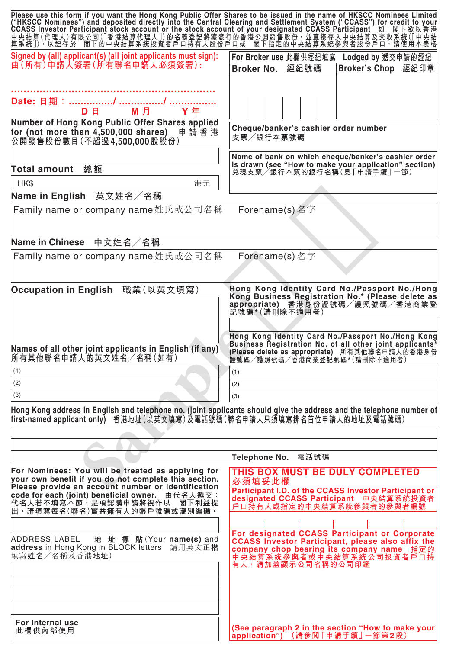| Please use this form if you want the Hong Kong Public Offer Shares to be issued in the name of HKSCC Nominees Limited ("HKSCC Nominees") and deposited directly into the Central Clearing and Settlement System ("CCASS") for |                                                                                                                            |
|-------------------------------------------------------------------------------------------------------------------------------------------------------------------------------------------------------------------------------|----------------------------------------------------------------------------------------------------------------------------|
| Signed by (all) applicant(s) (all joint applicants must sign):<br>由(所有)申請人簽署(所有聯名申請人必須簽署):                                                                                                                                    | For Broker use 此欄供經紀填寫<br>Lodged by 遞交申請的經紀<br><b>Broker No.</b><br>經紀號碼<br><b>Broker's Chop</b><br>經紀印章                   |
| M 月<br><b>Y</b> 年<br>D E DO<br>Number of Hong Kong Public Offer Shares applied                                                                                                                                                |                                                                                                                            |
| for (not more than 4,500,000 shares) 申請香港<br>公開發售股份數目(不超過4,500,000股股份)                                                                                                                                                        | Cheque/banker's cashier order number<br>支票/銀行本票號碼                                                                          |
|                                                                                                                                                                                                                               | Name of bank on which cheque/banker's cashier order<br>is drawn (see "How to make your application" section)               |
| 總額<br><b>Total amount</b>                                                                                                                                                                                                     | 兑現支票/銀行本票的銀行名稱(見「申請手續」一節)                                                                                                  |
| HK\$<br>港元                                                                                                                                                                                                                    |                                                                                                                            |
| Name in English 英文姓名/名稱                                                                                                                                                                                                       |                                                                                                                            |
| Family name or company name姓氏或公司名稱                                                                                                                                                                                            | Forename(s) 名字                                                                                                             |
|                                                                                                                                                                                                                               |                                                                                                                            |
| Name in Chinese 中文姓名/名稱                                                                                                                                                                                                       |                                                                                                                            |
| Family name or company name姓氏或公司名稱                                                                                                                                                                                            | Forename(s) 名字                                                                                                             |
|                                                                                                                                                                                                                               |                                                                                                                            |
| Occupation in English 職業(以英文填寫)                                                                                                                                                                                               | Hong Kong Identity Card No./Passport No./Hong                                                                              |
|                                                                                                                                                                                                                               | Kong Business Registration No.* (Please delete as<br>appropriate) 香港身份證號碼/護照號碼/香港商業登                                       |
|                                                                                                                                                                                                                               | 記號碼*(請刪除不適用者)                                                                                                              |
|                                                                                                                                                                                                                               |                                                                                                                            |
|                                                                                                                                                                                                                               | Hong Kong Identity Card No./Passport No./Hong Kong<br>Business Registration No. of all other joint applicants <sup>*</sup> |
| Names of all other joint applicants in English (if any)<br>所有其他聯名申請人的英文姓名/名稱(如有)                                                                                                                                              | (Please delete as appropriate) 所有其他聯名申請人的香港身份                                                                              |
| (1)                                                                                                                                                                                                                           | 證號碼/護照號碼/香港商業登記號碼*(請刪除不適用者)<br>(1)                                                                                         |
| (2)                                                                                                                                                                                                                           | (2)                                                                                                                        |
| (3)                                                                                                                                                                                                                           | (3)                                                                                                                        |
| Hong Kong address in English and telephone no. (joint applicants should give the address and the telephone number of                                                                                                          |                                                                                                                            |
| first-named applicant only) 香港地址(以英文填寫)及電話號碼(聯名申請人只須填寫排名首位申請人的地址及電話號碼)                                                                                                                                                        |                                                                                                                            |
|                                                                                                                                                                                                                               |                                                                                                                            |
|                                                                                                                                                                                                                               |                                                                                                                            |
|                                                                                                                                                                                                                               | Telephone No. 電話號碼                                                                                                         |
| For Nominees: You will be treated as applying for                                                                                                                                                                             | THIS BOX MUST BE DULY COMPLETED                                                                                            |
| your own benefit if you do not complete this section.<br>Please provide an account number or identification                                                                                                                   | 必須填妥此欄                                                                                                                     |
| code for each (joint) beneficial owner. 由代名人遞交:                                                                                                                                                                               | Participant I.D. of the CCASS Investor Participant or<br>designated CCASS Participant 中央結算系統投資者                            |
| 代名人若不填寫本節 <sup>;</sup> 是項認購申請將視作以 閣下利益提<br>出。請填寫每名(聯名)實益擁有人的賬戶號碼或識別編碼。                                                                                                                                                        | 戶口持有人或指定的中央結算系統參與者的參與者編號                                                                                                   |
|                                                                                                                                                                                                                               |                                                                                                                            |
| ADDRESS LABEL<br>地 址 標 貼 (Your name(s) and                                                                                                                                                                                    | For designated CCASS Participant or Corporate                                                                              |
| address in Hong Kong in BLOCK letters 請用英文正楷                                                                                                                                                                                  | <b>CCASS Investor Participant, please also affix the</b><br>company chop bearing its company name 指定的                      |
| 填寫姓名/名稱及香港地址)                                                                                                                                                                                                                 | 中央結算系統參與者或中央結算系統公司投資者戶口持<br>有人,請加蓋顯示公司名稱的公司印鑑                                                                              |
|                                                                                                                                                                                                                               |                                                                                                                            |
|                                                                                                                                                                                                                               |                                                                                                                            |
|                                                                                                                                                                                                                               |                                                                                                                            |
|                                                                                                                                                                                                                               |                                                                                                                            |
| For Internal use                                                                                                                                                                                                              |                                                                                                                            |
| 此欄供內部使用                                                                                                                                                                                                                       | (See paragraph 2 in the section "How to make your<br>application") (請參閲「申請手續」一節第2段)                                        |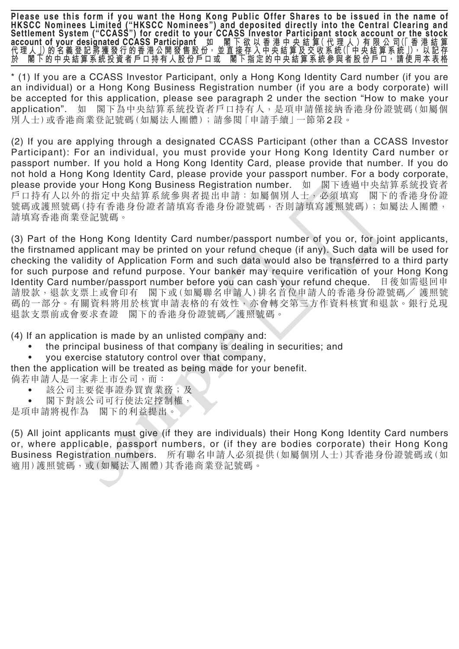**Please use this form if you want the Hong Kong Public Offer Shares to be issued in the name of HKSCC Nominees Limited ("HKSCC Nominees") and deposited directly into the Central Clearing and Settlement System ("CCASS") for credit to your CCASS Investor Participant stock account or the stock account of your designated CCASS Participant 如 閣 下 欲 以 香 港 中 央 結 算( 代 理 人 )有 限 公 司(「 香 港 結 算 代 理 人 」)的 名 義 登 記 將 獲 發 行 的 香 港 公 開 發 售 股 份, 並 直 接 存 入 中 央 結 算 及 交 收 系 統(「 中 央 結 算 系 統 」), 以 記 存 於 閣 下 的 中 央 結 算 系 統 投 資 者 戶 口 持 有 人 股 份 戶 口 或 閣 下 指 定 的 中 央 結 算 系 統 參 與 者 股 份 戶 口, 請 使 用 本 表 格**

\* (1) If you are a CCASS Investor Participant, only a Hong Kong Identity Card number (if you are an individual) or a Hong Kong Business Registration number (if you are a body corporate) will be accepted for this application, please see paragraph 2 under the section "How to make your application". 如 閣下為中央結算系統投資者戶口持有人,是項申請僅接納香港身份證號碼(如屬個 別人士)或香港商業登記號碼(如屬法人團體);請參閱「申請手續」一節第 2 段。

(2) If you are applying through a designated CCASS Participant (other than a CCASS Investor Participant): For an individual, you must provide your Hong Kong Identity Card number or passport number. If you hold a Hong Kong Identity Card, please provide that number. If you do not hold a Hong Kong Identity Card, please provide your passport number. For a body corporate, please provide your Hong Kong Business Registration number. 如 閣下透過中央結算系統投資者 戶口持有人以外的指定中央結算系統參與者提出申請:如屬個別人士,必須填寫 閣下的香港身份證 號碼或護照號碼(持有香港身份證有香港身份證號碼,否則請填寫護照號碼);如屬法人團體, 請填寫香港商業登記號碼。

(3) Part of the Hong Kong Identity Card number/passport number of you or, for joint applicants, the firstnamed applicant may be printed on your refund cheque (if any). Such data will be used for checking the validity of Application Form and such data would also be transferred to a third party for such purpose and refund purpose. Your banker may require verification of your Hong Kong Identity Card number/passport number before you can cash your refund cheque. 日後如需退回申 請股款,退款支票上或會印有 閣下或(如屬聯名申請人)排名首位申請人的香港身份證號碼╱ 護照號 碼的一部分。有關資料將用於核實申請表格的有效性,亦會轉交第三方作資料核實和退款。銀行兑現 退款支票前或會要求查證 閣下的香港身份證號碼╱護照號碼。 For h存有人以外的搭定中央結算系統参與者提出申請:如屬個別人!,必須填寫 關下的<br>、<br>soliding 精准的指定中央結算系統多時書提身份證數碼。否則請填寫護照號碼;如属<br>di填充電話需要需要需要分證者請填寫書程身份證號碼。否則請填寫護照明;如属<br>di填充書間需要記録碼。<br>(3) Part of the Hong Kong Identity Card number/passport number of you or, fo

(4) If an application is made by an unlisted company and:

- the principal business of that company is dealing in securities; and
- you exercise statutory control over that company,

then the application will be treated as being made for your benefit.

倘若申請人是一家非上市公司,而:

- 該公司主要從事證券買賣業務;及
- 閣下對該公司可行使法定控制權,

是項申請將視作為 閣下的利益提出。

(5) All joint applicants must give (if they are individuals) their Hong Kong Identity Card numbers or, where applicable, passport numbers, or (if they are bodies corporate) their Hong Kong Business Registration numbers. 所有聯名申請人必須提供(如屬個別人士)其香港身份證號碼或(如 適用)護照號碼,或(如屬法人團體)其香港商業登記號碼。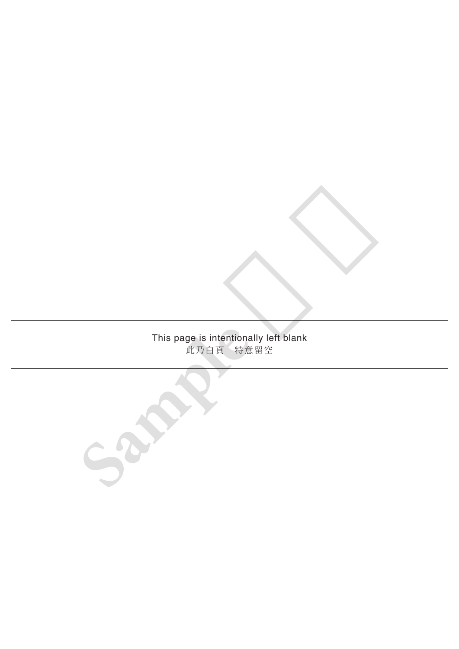# This page is intentionally left blank 此乃白頁 特意留空

**Sample** 樣本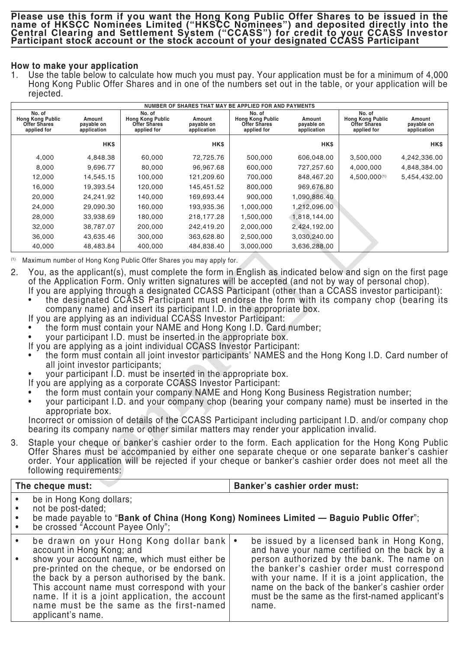## **How to make your application**

1. Use the table below to calculate how much you must pay. Your application must be for a minimum of 4,000 Hong Kong Public Offer Shares and in one of the numbers set out in the table, or your application will be rejected.

| NUMBER OF SHARES THAT MAY BE APPLIED FOR AND PAYMENTS                   |                                     |                                                                         |                                     |                                                                         |                                     |                                                                         |                                     |  |  |
|-------------------------------------------------------------------------|-------------------------------------|-------------------------------------------------------------------------|-------------------------------------|-------------------------------------------------------------------------|-------------------------------------|-------------------------------------------------------------------------|-------------------------------------|--|--|
| No. of<br><b>Hong Kong Public</b><br><b>Offer Shares</b><br>applied for | Amount<br>payable on<br>application | No. of<br><b>Hong Kong Public</b><br><b>Offer Shares</b><br>applied for | Amount<br>payable on<br>application | No. of<br><b>Hong Kong Public</b><br><b>Offer Shares</b><br>applied for | Amount<br>payable on<br>application | No. of<br><b>Hong Kong Public</b><br><b>Offer Shares</b><br>applied for | Amount<br>payable on<br>application |  |  |
|                                                                         | <b>HKS</b>                          |                                                                         | <b>HK\$</b>                         |                                                                         | <b>HKS</b>                          |                                                                         | <b>HK\$</b>                         |  |  |
| 4,000                                                                   | 4,848.38                            | 60,000                                                                  | 72,725.76                           | 500,000                                                                 | 606,048.00                          | 3,500,000                                                               | 4,242,336.00                        |  |  |
| 8,000                                                                   | 9,696.77                            | 80,000                                                                  | 96,967.68                           | 600,000                                                                 | 727,257.60                          | 4,000,000                                                               | 4,848,384.00                        |  |  |
| 12,000                                                                  | 14,545.15                           | 100,000                                                                 | 121,209.60                          | 700,000                                                                 | 848,467.20                          | 4,500,000(1)                                                            | 5,454,432.00                        |  |  |
| 16,000                                                                  | 19,393.54                           | 120,000                                                                 | 145,451.52                          | 800,000                                                                 | 969,676.80                          |                                                                         |                                     |  |  |
| 20,000                                                                  | 24,241.92                           | 140,000                                                                 | 169,693.44                          | 900,000                                                                 | 1,090,886.40                        |                                                                         |                                     |  |  |
| 24,000                                                                  | 29,090.30                           | 160,000                                                                 | 193,935.36                          | 1,000,000                                                               | 1,212,096.00                        |                                                                         |                                     |  |  |
| 28,000                                                                  | 33,938.69                           | 180,000                                                                 | 218,177.28                          | 1,500,000                                                               | 1,818,144.00                        |                                                                         |                                     |  |  |
| 32,000                                                                  | 38,787.07                           | 200,000                                                                 | 242,419.20                          | 2,000,000                                                               | 2,424,192.00                        |                                                                         |                                     |  |  |
| 36,000                                                                  | 43,635.46                           | 300,000                                                                 | 363,628.80                          | 2,500,000                                                               | 3,030,240.00                        |                                                                         |                                     |  |  |
| 40,000                                                                  | 48,483.84                           | 400,000                                                                 | 484,838.40                          | 3,000,000                                                               | 3,636,288.00                        |                                                                         |                                     |  |  |

- 2. You, as the applicant(s), must complete the form in English as indicated below and sign on the first page of the Application Form. Only written signatures will be accepted (and not by way of personal chop). If you are applying through a designated CCASS Participant (other than a CCASS investor participant):
	- the designated CCASS Participant must endorse the form with its company chop (bearing its company name) and insert its participant I.D. in the appropriate box.
	- If you are applying as an individual CCASS Investor Participant:
	- the form must contain your NAME and Hong Kong I.D. Card number;
	- your participant I.D. must be inserted in the appropriate box.
	- If you are applying as a joint individual CCASS Investor Participant:
	- the form must contain all joint investor participants' NAMES and the Hong Kong I.D. Card number of all joint investor participants;
	- your participant I.D. must be inserted in the appropriate box.
	- If you are applying as a corporate CCASS Investor Participant:
	- the form must contain your company NAME and Hong Kong Business Registration number;
	- your participant I.D. and your company chop (bearing your company name) must be inserted in the appropriate box.

|                                                  | 20,000                                                                                      | 24,241.92                                            | 140,000                                                                                                                                                                                                                                                                                                                                                                                                                                                                                     | 169,693.44 | 900,000   | 1,090,886.40                                                                           |                                                                                                                                                                                                                                                                                                                                                                                                                                                                                                                                                                                                                                                                                                                                                                                                                                     |                                                |
|--------------------------------------------------|---------------------------------------------------------------------------------------------|------------------------------------------------------|---------------------------------------------------------------------------------------------------------------------------------------------------------------------------------------------------------------------------------------------------------------------------------------------------------------------------------------------------------------------------------------------------------------------------------------------------------------------------------------------|------------|-----------|----------------------------------------------------------------------------------------|-------------------------------------------------------------------------------------------------------------------------------------------------------------------------------------------------------------------------------------------------------------------------------------------------------------------------------------------------------------------------------------------------------------------------------------------------------------------------------------------------------------------------------------------------------------------------------------------------------------------------------------------------------------------------------------------------------------------------------------------------------------------------------------------------------------------------------------|------------------------------------------------|
|                                                  | 24,000                                                                                      | 29,090.30                                            | 160,000                                                                                                                                                                                                                                                                                                                                                                                                                                                                                     | 193,935.36 | 1,000,000 | 1,212,096.00                                                                           |                                                                                                                                                                                                                                                                                                                                                                                                                                                                                                                                                                                                                                                                                                                                                                                                                                     |                                                |
|                                                  | 28,000                                                                                      | 33,938.69                                            | 180,000                                                                                                                                                                                                                                                                                                                                                                                                                                                                                     | 218,177.28 | 1,500,000 | 1,818,144.00                                                                           |                                                                                                                                                                                                                                                                                                                                                                                                                                                                                                                                                                                                                                                                                                                                                                                                                                     |                                                |
|                                                  | 32,000                                                                                      | 38,787.07                                            | 200,000                                                                                                                                                                                                                                                                                                                                                                                                                                                                                     | 242,419.20 | 2,000,000 | 2,424,192.00                                                                           |                                                                                                                                                                                                                                                                                                                                                                                                                                                                                                                                                                                                                                                                                                                                                                                                                                     |                                                |
|                                                  | 36,000                                                                                      | 43,635.46                                            | 300,000                                                                                                                                                                                                                                                                                                                                                                                                                                                                                     | 363,628.80 | 2,500,000 | 3,030,240.00                                                                           |                                                                                                                                                                                                                                                                                                                                                                                                                                                                                                                                                                                                                                                                                                                                                                                                                                     |                                                |
|                                                  | 40,000                                                                                      | 48,483.84                                            | 400,000                                                                                                                                                                                                                                                                                                                                                                                                                                                                                     | 484,838.40 | 3,000,000 | 3,636,288.00                                                                           |                                                                                                                                                                                                                                                                                                                                                                                                                                                                                                                                                                                                                                                                                                                                                                                                                                     |                                                |
| (1)<br>2.                                        |                                                                                             |                                                      | Maximum number of Hong Kong Public Offer Shares you may apply for.                                                                                                                                                                                                                                                                                                                                                                                                                          |            |           |                                                                                        |                                                                                                                                                                                                                                                                                                                                                                                                                                                                                                                                                                                                                                                                                                                                                                                                                                     |                                                |
|                                                  | $\bullet$                                                                                   | all joint investor participants;<br>appropriate box. | company name) and insert its participant I.D. in the appropriate box.<br>If you are applying as an individual CCASS Investor Participant:<br>the form must contain your NAME and Hong Kong I.D. Card number;<br>your participant I.D. must be inserted in the appropriate box.<br>If you are applying as a joint individual CCASS Investor Participant:<br>your participant I.D. must be inserted in the appropriate box.<br>If you are applying as a corporate CCASS Investor Participant: |            |           | bearing its company name or other similar matters may render your application invalid. | You, as the applicant(s), must complete the form in English as indicated below and sign on the first page<br>of the Application Form. Only written signatures will be accepted (and not by way of personal chop).<br>If you are applying through a designated CCASS Participant (other than a CCASS investor participant):<br>the designated CCASS Participant must endorse the form with its company chop (bearing its<br>the form must contain all joint investor participants' NAMES and the Hong Kong I.D. Card number of<br>the form must contain your company NAME and Hong Kong Business Registration number;<br>your participant I.D. and your company chop (bearing your company name) must be inserted in the<br>Incorrect or omission of details of the CCASS Participant including participant I.D. and/or company chop |                                                |
| 3.                                               |                                                                                             | following requirements:                              |                                                                                                                                                                                                                                                                                                                                                                                                                                                                                             |            |           |                                                                                        | Staple your cheque or banker's cashier order to the form. Each application for the Hong Kong Public<br>Offer Shares must be accompanied by either one separate cheque or one separate banker's cashier<br>order. Your application will be rejected if your cheque or banker's cashier order does not meet all the                                                                                                                                                                                                                                                                                                                                                                                                                                                                                                                   |                                                |
|                                                  | The cheque must:                                                                            |                                                      |                                                                                                                                                                                                                                                                                                                                                                                                                                                                                             |            |           | <b>Banker's cashier order must:</b>                                                    |                                                                                                                                                                                                                                                                                                                                                                                                                                                                                                                                                                                                                                                                                                                                                                                                                                     |                                                |
| $\bullet$<br>$\bullet$<br>$\bullet$<br>$\bullet$ | not be post-dated;                                                                          | be in Hong Kong dollars;                             | be crossed "Account Payee Only";                                                                                                                                                                                                                                                                                                                                                                                                                                                            |            |           |                                                                                        | be made payable to "Bank of China (Hong Kong) Nominees Limited - Baguio Public Offer";                                                                                                                                                                                                                                                                                                                                                                                                                                                                                                                                                                                                                                                                                                                                              |                                                |
| $\bullet$<br>$\bullet$                           | the back by a person authorised by the bank.<br>This account name must correspond with your | account in Hong Kong; and                            | be drawn on your Hong Kong dollar bank   •<br>show your account name, which must either be<br>pre-printed on the cheque, or be endorsed on                                                                                                                                                                                                                                                                                                                                                  |            |           |                                                                                        | be issued by a licensed bank in Hong Kong,<br>and have your name certified on the back by a<br>person authorized by the bank. The name on<br>the banker's cashier order must correspond<br>with your name. If it is a joint application, the                                                                                                                                                                                                                                                                                                                                                                                                                                                                                                                                                                                        | name on the back of the banker's cashier order |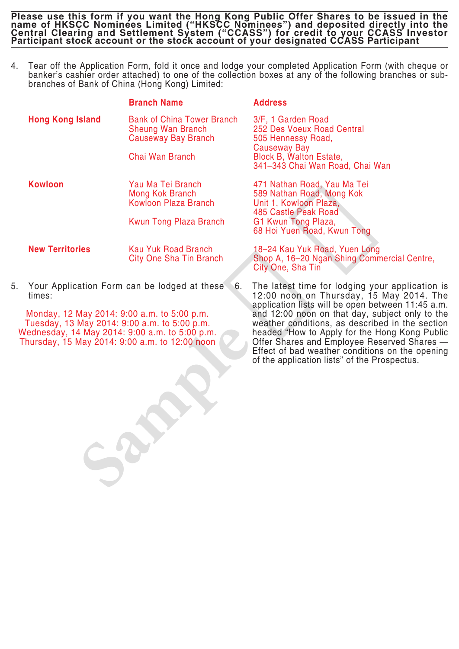4. Tear off the Application Form, fold it once and lodge your completed Application Form (with cheque or banker's cashier order attached) to one of the collection boxes at any of the following branches or subbranches of Bank of China (Hong Kong) Limited:

|                                                                                                                                                                                                 | <b>Branch Name</b>                                                                          | <b>Address</b>                                                                                                                                                                                                                                                                        |
|-------------------------------------------------------------------------------------------------------------------------------------------------------------------------------------------------|---------------------------------------------------------------------------------------------|---------------------------------------------------------------------------------------------------------------------------------------------------------------------------------------------------------------------------------------------------------------------------------------|
| <b>Hong Kong Island</b>                                                                                                                                                                         | <b>Bank of China Tower Branch</b><br><b>Sheung Wan Branch</b><br><b>Causeway Bay Branch</b> | 3/F, 1 Garden Road<br>252 Des Voeux Road Central<br>505 Hennessy Road,<br>Causeway Bay                                                                                                                                                                                                |
|                                                                                                                                                                                                 | Chai Wan Branch                                                                             | <b>Block B, Walton Estate,</b><br>341-343 Chai Wan Road, Chai Wan                                                                                                                                                                                                                     |
| <b>Kowloon</b>                                                                                                                                                                                  | Yau Ma Tei Branch<br>Mong Kok Branch<br><b>Kowloon Plaza Branch</b>                         | 471 Nathan Road, Yau Ma Tei<br>589 Nathan Road, Mong Kok<br>Unit 1, Kowloon Plaza,<br>485 Castle Peak Road                                                                                                                                                                            |
|                                                                                                                                                                                                 | <b>Kwun Tong Plaza Branch</b>                                                               | G1 Kwun Tong Plaza,<br>68 Hoi Yuen Road, Kwun Tong                                                                                                                                                                                                                                    |
| <b>New Territories</b>                                                                                                                                                                          | <b>Kau Yuk Road Branch</b><br><b>City One Sha Tin Branch</b>                                | 18-24 Kau Yuk Road, Yuen Long<br>Shop A, 16-20 Ngan Shing Commercial Centre,<br>City One, Sha Tin                                                                                                                                                                                     |
| Your Application Form can be lodged at these<br>5.<br>times:                                                                                                                                    | 6.                                                                                          | The latest time for lodging your applicatior<br>12:00 noon on Thursday, 15 May 2014.<br>application lists will be open between 11:45 a                                                                                                                                                |
| Monday, 12 May 2014: 9:00 a.m. to 5:00 p.m.<br>Tuesday, 13 May 2014: 9:00 a.m. to 5:00 p.m.<br>Wednesday, 14 May 2014: 9:00 a.m. to 5:00 p.m.<br>Thursday, 15 May 2014: 9:00 a.m. to 12:00 noon |                                                                                             | and 12:00 noon on that day, subject only to<br>weather conditions, as described in the sect<br>headed "How to Apply for the Hong Kong Pu<br>Offer Shares and Employee Reserved Shares<br>Effect of bad weather conditions on the oper<br>of the application lists" of the Prospectus. |
|                                                                                                                                                                                                 |                                                                                             |                                                                                                                                                                                                                                                                                       |
|                                                                                                                                                                                                 |                                                                                             |                                                                                                                                                                                                                                                                                       |

6. The latest time for lodging your application is 12:00 noon on Thursday, 15 May 2014. The application lists will be open between 11:45 a.m. and 12:00 noon on that day, subject only to the weather conditions, as described in the section headed "How to Apply for the Hong Kong Public Offer Shares and Employee Reserved Shares — Effect of bad weather conditions on the opening of the application lists" of the Prospectus.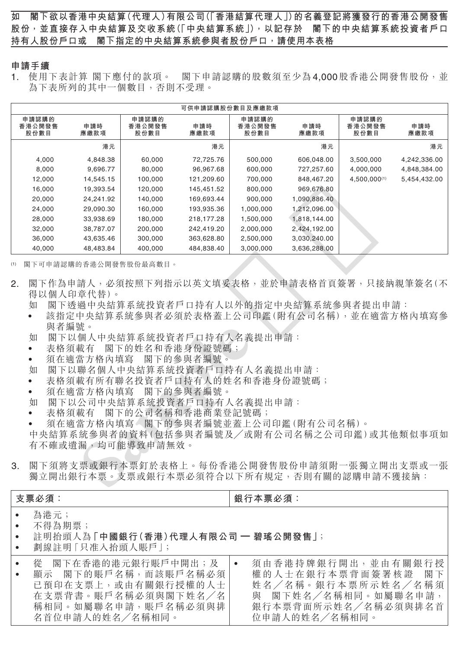### **申請手續**

1. 使用下表計算閣下應付的款項。 閣下申請認購的股數須至少為4,000股香港公開發售股份,並 為下表所列的其中一個數目,否則不受理。

| 可供申請認購股份數目及應繳款項         |             |                         |             |                         |              |                         |              |  |  |
|-------------------------|-------------|-------------------------|-------------|-------------------------|--------------|-------------------------|--------------|--|--|
| 申請認購的<br>香港公開發售<br>股份數目 | 申請時<br>應繳款項 | 申請認購的<br>香港公開發售<br>股份數目 | 申請時<br>應繳款項 | 申請認購的<br>香港公開發售<br>股份數目 | 申請時<br>應繳款項  | 申請認購的<br>香港公開發售<br>股份數目 | 申請時<br>應繳款項  |  |  |
|                         | 港元          |                         | 港元          |                         | 港元           |                         | 港元           |  |  |
| 4,000                   | 4,848.38    | 60,000                  | 72,725.76   | 500,000                 | 606,048.00   | 3,500,000               | 4,242,336.00 |  |  |
| 8,000                   | 9,696.77    | 80,000                  | 96,967.68   | 600,000                 | 727,257.60   | 4,000,000               | 4,848,384.00 |  |  |
| 12,000                  | 14,545.15   | 100,000                 | 121,209.60  | 700,000                 | 848,467.20   | 4,500,000(1)            | 5,454,432.00 |  |  |
| 16,000                  | 19,393.54   | 120,000                 | 145,451.52  | 800,000                 | 969,676.80   |                         |              |  |  |
| 20,000                  | 24.241.92   | 140,000                 | 169,693.44  | 900,000                 | 1,090,886.40 |                         |              |  |  |
| 24,000                  | 29,090.30   | 160,000                 | 193,935.36  | 1,000,000               | 1,212,096.00 |                         |              |  |  |
| 28,000                  | 33,938.69   | 180,000                 | 218,177.28  | 1,500,000               | 1,818,144.00 |                         |              |  |  |
| 32,000                  | 38,787.07   | 200,000                 | 242,419.20  | 2,000,000               | 2,424,192.00 |                         |              |  |  |
| 36,000                  | 43,635.46   | 300,000                 | 363,628.80  | 2,500,000               | 3,030,240.00 |                         |              |  |  |
| 40,000                  | 48,483.84   | 400,000                 | 484,838.40  | 3,000,000               | 3,636,288.00 |                         |              |  |  |

- 2. 閣下作為申請人,必須按照下列指示以英文填妥表格,並於申請表格首頁簽署,只接納親筆簽名(不 得以個人印章代替)。
	- 如 閣下透過中央結算系統投資者戶口持有人以外的指定中央結算系統參與者提出申請:
	- 該指定中央結算系統參與者必須於表格蓋上公司印鑑(附有公司名稱),並在適當方格內填寫參 與者編號。
	- 如 閣下以個人中央結算系統投資者戶口持有人名義提出申請:
	- 表格須載有 閣下的姓名和香港身份證號碼;
	- 須在適當方格內填寫 閣下的參與者編號。
	- 如 閣下以聯名個人中央結算系統投資者戶口持有人名義提出申請:
	- 表格須載有所有聯名投資者戶口持有人的姓名和香港身份證號碼;
	- 須在適當方格內填寫 閣下的參與者編號。
	- 如 閣下以公司中央結算系統投資者戶口持有人名義提出申請:
	- 表格須載有 閣下的公司名稱和香港商業登記號碼;

| 10,000                                                                     | 10.000.07                                                                                                                                                                                                                                                      | 120,000 | 1 TU.TU I.UL                        | ouu,uuu   | 00.07 U.OU                         |                                                                                                                                                                                                                                                                               |
|----------------------------------------------------------------------------|----------------------------------------------------------------------------------------------------------------------------------------------------------------------------------------------------------------------------------------------------------------|---------|-------------------------------------|-----------|------------------------------------|-------------------------------------------------------------------------------------------------------------------------------------------------------------------------------------------------------------------------------------------------------------------------------|
| 20,000                                                                     | 24,241.92                                                                                                                                                                                                                                                      | 140,000 | 169,693.44                          | 900,000   | 1,090,886.40                       |                                                                                                                                                                                                                                                                               |
| 24,000                                                                     | 29,090.30                                                                                                                                                                                                                                                      | 160,000 | 193,935.36                          | 1,000,000 | 1,212,096.00                       |                                                                                                                                                                                                                                                                               |
| 28,000                                                                     | 33,938.69                                                                                                                                                                                                                                                      | 180,000 | 218,177.28                          | 1,500,000 | 1,818,144.00                       |                                                                                                                                                                                                                                                                               |
| 32,000                                                                     | 38,787.07                                                                                                                                                                                                                                                      | 200,000 | 242,419.20                          | 2,000,000 | 2,424,192.00                       |                                                                                                                                                                                                                                                                               |
| 36,000                                                                     | 43,635.46                                                                                                                                                                                                                                                      | 300,000 | 363,628.80                          | 2,500,000 | 3,030,240.00                       |                                                                                                                                                                                                                                                                               |
| 40,000                                                                     | 48,483.84                                                                                                                                                                                                                                                      | 400,000 | 484,838.40                          | 3,000,000 | 3,636,288.00                       |                                                                                                                                                                                                                                                                               |
| (1)<br>2.<br>如<br>如<br>$\bullet$<br>$\bullet$<br>如<br>$\bullet$<br>如<br>3. | 閣下可申請認購的香港公開發售股份最高數目。<br>得以個人印章代替)。<br>與者編號。<br>閣下以個人中央結算系統投資者戶口持有人名義提出申請:<br>表格須載有<br>須在適當方格內填寫 閣下的參與者編號。<br>閣下以聯名個人中央結算系統投資者戶口持有人名義提出申請:<br>表格須載有所有聯名投資者戶口持有人的姓名和香港身份證號碼;<br>須在適當方格內填寫 閣下的參與者編號。<br>閣下以公司中央結算系統投資者戶口持有人名義提出申請:<br>表格須載有<br>有不確或遺漏,均可能導致申請無效。 |         | 閣下的姓名和香港身份證號碼;<br>閣下的公司名稱和香港商業登記號碼; |           | 須在適當方格內填寫《閣下的參與者編號並蓋上公司印鑑(附有公司名稱)。 | 閣下作為申請人,必須按照下列指示以英文填妥表格,並於申請表格首頁簽署,只接納親筆簽名(不<br>閣下透過中央結算系統投資者戶口持有人以外的指定中央結算系統參與者提出申請:<br>該指定中央結算系統參與者必須於表格蓋上公司印鑑(附有公司名稱),並在適當方格內填寫參<br>中央結算系統參與者的資料(包括參與者編號及/或附有公司名稱之公司印鑑)或其他類似事項如<br>閣下須將支票或銀行本票釘於表格上。每份香港公開發售股份申請須附一張獨立開出支票或一張<br>獨立開出銀行本票。支票或銀行本票必須符合以下所有規定,否則有關的認購申請不獲接納: |
| 支票必須:                                                                      |                                                                                                                                                                                                                                                                |         |                                     | 銀行本票必須:   |                                    |                                                                                                                                                                                                                                                                               |
| 為港元;<br>$\bullet$<br>不得為期票;<br>$\bullet$<br>$\bullet$                      | 註明抬頭人為「中國銀行(香港)代理人有限公司 — 碧瑤公開發售」;<br>劃線註明 [ 只准入抬頭人賬戶 ] ;                                                                                                                                                                                                       |         |                                     |           |                                    |                                                                                                                                                                                                                                                                               |
| 從<br>$\bullet$<br>$\bullet$<br>在支票背書。賬戶名稱必須與閣下姓名/名<br>稱相同。如屬聯名申請,賬戶名稱必須與排  | 閣下在香港的港元銀行賬戶中開出;及<br>顯示 閣下的賬戶名稱,而該賬戶名稱必須<br>已預印在支票上,或由有關銀行授權的人士                                                                                                                                                                                                |         |                                     | $\bullet$ |                                    | 須由香港持牌銀行開出,並由有關銀行授<br>權的人士在銀行本票背面簽署核證<br>閣下<br>姓名/名稱。銀行本票所示姓名/名稱須<br>與 閣下姓名/名稱相同。如屬聯名申請,                                                                                                                                                                                      |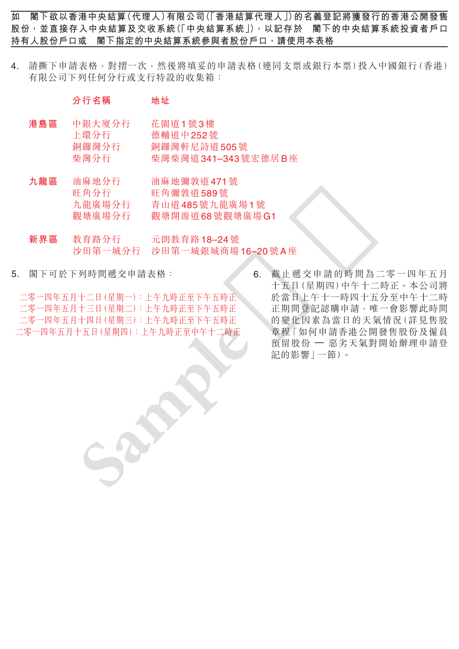4. 請撕下申請表格,對摺一次,然後將填妥的申請表格(連同支票或銀行本票)投入中國銀行(香港) 有限公司下列任何分行或支行特設的收集箱:

## **分行名稱 地址**

- **港島區** 中銀大廈分行 花園道1號3樓 上環分行 德輔道中 252 號 銅鑼灣分行 銅鑼灣軒尼詩道 505號 柴灣分行 柴灣柴灣道 341-343 號宏德居 B 座
- **九龍區** 油麻地分行 油麻地彌敦道 471 號 旺角分行 旺角彌敦道 589 號 九龍廣場分行 青山道 485 號九龍廣場 1 號 觀塘廣場分行 觀塘開源道 68 號觀塘廣場 G1
- **新界區** 教育路分行 元朗教育路 18–24 號 沙田第一城分行 沙田第一城銀城商場 16–20 號 A 座
- 5. 閣下可於下列時間遞交申請表格:

二零一四年五月十二日(星期一):上午九時正至下午五時正 二零一四年五月十三日(星期二):上午九時正至下午五時正 二零一四年五月十四日(星期三):上午九時正至下午五時正 二零一四年五月十五日(星期四):上午九時正至中午十二時正

6. 截止遞交申請的時間為二零一四年五月 十五日(星期四)中午十二時正。本公司將 於當日上午十一時四十五分至中午十二時 正期間登記認購申請,唯一會影響此時間 的變化因素為當日的天氣情況(詳見售股 章程「如何申請香港公開發售股份及僱員 預留股份 — 惡劣天氣對開始辦理申請登 記的影響」一節)。 世用分行<br>東地廣場分行 社内網致發展 1989號 1869號 2009號 A 座<br>東東區 教育路小行 元朗教育路 18–24號 - 第二十五日(上海中国時間為一部界區 教育路分行 元朗教育路 18–24號 - 第二十五日(星期開刊)中午十二時<br>5. 閣下可於下列時間遞交申請表格: - 9. 第二十五日(星期四四)中午十二時<br>二零一四年五月十二日(星期一):上午九時正至下午五時正 正規同四)中午十一時四百年12日(星期一)<br>二零一四年五月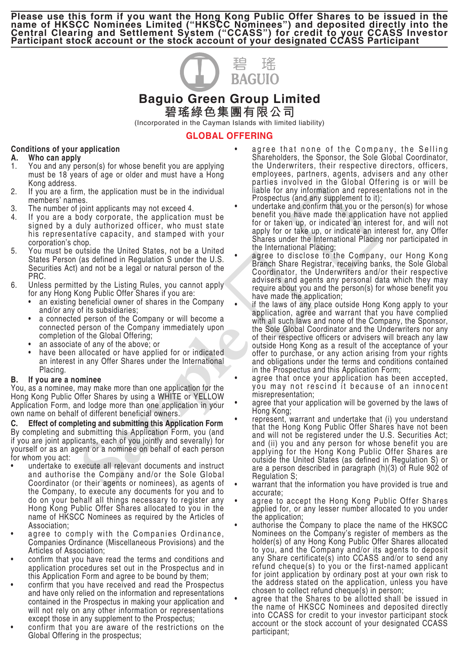

# **Baguio Green Group Limited 碧瑤綠色集團有限公司**

(Incorporated in the Cayman Islands with limited liability)

## **GLOBAL OFFERING**

## **Conditions of your application**

#### **A. Who can apply**

- 1. You and any person(s) for whose benefit you are applying must be 18 years of age or older and must have a Hong Kong address.
- 2. If you are a firm, the application must be in the individual members' names.
- 3. The number of joint applicants may not exceed 4.
- 4. If you are a body corporate, the application must be signed by a duly authorized officer, who must state his representative capacity, and stamped with your corporation's chop.
- 5. You must be outside the United States, not be a United States Person (as defined in Regulation S under the U.S. Securities Act) and not be a legal or natural person of the PRC.
- 6. Unless permitted by the Listing Rules, you cannot apply for any Hong Kong Public Offer Shares if you are:
	- an existing beneficial owner of shares in the Company and/or any of its subsidiaries;
	- a connected person of the Company or will become a connected person of the Company immediately upon completion of the Global Offering;
	- an associate of any of the above; or
	- have been allocated or have applied for or indicated an interest in any Offer Shares under the International Placing.

## **B. If you are a nominee**

You, as a nominee, may make more than one application for the Hong Kong Public Offer Shares by using a WHITE or YELLOW Application Form, and lodge more than one application in your own name on behalf of different beneficial owners.

**C. Effect of completing and submitting this Application Form** By completing and submitting this Application Form, you (and if you are joint applicants, each of you jointly and severally) for yourself or as an agent or a nominee on behalf of each person for whom you act:

- undertake to execute all relevant documents and instruct and authorise the Company and/or the Sole Global Coordinator (or their agents or nominees), as agents of the Company, to execute any documents for you and to do on your behalf all things necessary to register any Hong Kong Public Offer Shares allocated to you in the name of HKSCC Nominees as required by the Articles of Association; 2.<br>
In the article particle and the matter of the matter of the matter in the article and the article and the article and the article and the article and the article and the article and the article and the article and the
	- agree to comply with the Companies Ordinance, Companies Ordinance (Miscellaneous Provisions) and the Articles of Association;
	- confirm that you have read the terms and conditions and application procedures set out in the Prospectus and in this Application Form and agree to be bound by them;
	- confirm that you have received and read the Prospectus and have only relied on the information and representations contained in the Prospectus in making your application and will not rely on any other information or representations except those in any supplement to the Prospectus;
	- confirm that you are aware of the restrictions on the Global Offering in the prospectus;
- agree that none of the Company, the Selling Shareholders, the Sponsor, the Sole Global Coordinator, the Underwriters, their respective directors, officers, employees, partners, agents, advisers and any other parties involved in the Global Offering is or will be liable for any information and representations not in the Prospectus (and any supplement to it);
- undertake and confirm that you or the person(s) for whose benefit you have made the application have not applied for or taken up, or indicated an interest for, and will not apply for or take up, or indicate an interest for, any Offer Shares under the International Placing nor participated in the International Placing;
- agree to disclose to the Company, our Hong Kong Branch Share Registrar, receiving banks, the Sole Global Coordinator, the Underwriters and/or their respective advisers and agents any personal data which they may require about you and the person(s) for whose benefit you have made the application;
- if the laws of any place outside Hong Kong apply to your application, agree and warrant that you have complied with all such laws and none of the Company, the Sponsor, the Sole Global Coordinator and the Underwriters nor any of their respective officers or advisers will breach any law outside Hong Kong as a result of the acceptance of your offer to purchase, or any action arising from your rights and obligations under the terms and conditions contained in the Prospectus and this Application Form;
- agree that once your application has been accepted, you may not rescind it because of an innocent misrepresentation;
- agree that your application will be governed by the laws of Hong Kong;
- represent, warrant and undertake that (i) you understand that the Hong Kong Public Offer Shares have not been and will not be registered under the U.S. Securities Act; and (ii) you and any person for whose benefit you are applying for the Hong Kong Public Offer Shares are outside the United States (as defined in Regulation S) or are a person described in paragraph (h)(3) of Rule 902 of Regulation S;
- warrant that the information you have provided is true and accurate;
- agree to accept the Hong Kong Public Offer Shares applied for, or any lesser number allocated to you under the application;
- authorise the Company to place the name of the HKSCC Nominees on the Company's register of members as the holder(s) of any Hong Kong Public Offer Shares allocated to you, and the Company and/or its agents to deposit any Share certificate(s) into CCASS and/or to send any refund cheque(s) to you or the first-named applicant for joint application by ordinary post at your own risk to the address stated on the application, unless you have chosen to collect refund cheque(s) in person;
- agree that the Shares to be allotted shall be issued in the name of HKSCC Nominees and deposited directly into CCASS for credit to your investor participant stock account or the stock account of your designated CCASS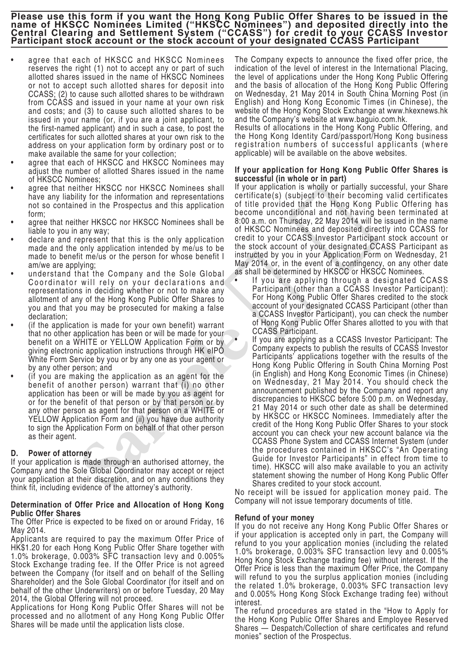- agree that each of HKSCC and HKSCC Nominees reserves the right (1) not to accept any or part of such allotted shares issued in the name of HKSCC Nominees or not to accept such allotted shares for deposit into CCASS; (2) to cause such allotted shares to be withdrawn from CCASS and issued in your name at your own risk and costs; and (3) to cause such allotted shares to be issued in your name (or, if you are a joint applicant, to the first-named applicant) and in such a case, to post the certificates for such allotted shares at your own risk to the address on your application form by ordinary post or to make available the same for your collection;
- agree that each of HKSCC and HKSCC Nominees may adjust the number of allotted Shares issued in the name of HKSCC Nominees;
- agree that neither HKSCC nor HKSCC Nominees shall have any liability for the information and representations not so contained in the Prospectus and this application form;
- agree that neither HKSCC nor HKSCC Nominees shall be liable to you in any way;
- declare and represent that this is the only application made and the only application intended by me/us to be made to benefit me/us or the person for whose benefit I am/we are applying;
- understand that the Company and the Sole Global Coordinator will rely on your declarations and representations in deciding whether or not to make any allotment of any of the Hong Kong Public Offer Shares to you and that you may be prosecuted for making a false declaration;
- (if the application is made for your own benefit) warrant that no other application has been or will be made for your benefit on a WHITE or YELLOW Application Form or by giving electronic application instructions through HK eIPO White Form Service by you or by any one as your agent or by any other person; and
- (if you are making the application as an agent for the benefit of another person) warrant that (i) no other application has been or will be made by you as agent for or for the benefit of that person or by that person or by any other person as agent for that person on a WHITE or YELLOW Application Form and (ii) you have due authority to sign the Application Form on behalf of that other person as their agent.

## **D. Power of attorney**

If your application is made through an authorised attorney, the Company and the Sole Global Coordinator may accept or reject your application at their discretion, and on any conditions they think fit, including evidence of the attorney's authority.

#### **Determination of Offer Price and Allocation of Hong Kong Public Offer Shares**

The Offer Price is expected to be fixed on or around Friday, 16 May 2014.

Applicants are required to pay the maximum Offer Price of HK\$1.20 for each Hong Kong Public Offer Share together with 1.0% brokerage, 0.003% SFC transaction levy and 0.005% Stock Exchange trading fee. If the Offer Price is not agreed between the Company (for itself and on behalf of the Selling Shareholder) and the Sole Global Coordinator (for itself and on behalf of the other Underwriters) on or before Tuesday, 20 May 2014, the Global Offering will not proceed.

Applications for Hong Kong Public Offer Shares will not be processed and no allotment of any Hong Kong Public Offer Shares will be made until the application lists close.

The Company expects to announce the fixed offer price, the indication of the level of interest in the International Placing, the level of applications under the Hong Kong Public Offering and the basis of allocation of the Hong Kong Public Offering on Wednesday, 21 May 2014 in South China Morning Post (in English) and Hong Kong Economic Times (in Chinese), the website of the Hong Kong Stock Exchange at www.hkexnews.hk and the Company's website at www.baguio.com.hk.

Results of allocations in the Hong Kong Public Offering, and the Hong Kong Identity Card/passport/Hong Kong business registration numbers of successful applicants (where applicable) will be available on the above websites.

### **If your application for Hong Kong Public Offer Shares is successful (in whole or in part)**

If your application is wholly or partially successful, your Share certificate(s) (subject to their becoming valid certificates of title provided that the Hong Kong Public Offering has become unconditional and not having been terminated at 8:00 a.m. on Thursday, 22 May 2014 will be issued in the name of HKSCC Nominees and deposited directly into CCASS for credit to your CCASS Investor Participant stock account or the stock account of your designated CCASS Participant as instructed by you in your Application Form on Wednesday, 21 May 2014 or, in the event of a contingency, on any other date as shall be determined by HKSCC or HKSCC Nominees.

- If you are applying through a designated CCASS Participant (other than a CCASS Investor Participant): For Hong Kong Public Offer Shares credited to the stock account of your designated CCASS Participant (other than a CCASS Investor Participant), you can check the number of Hong Kong Public Offer Shares allotted to you with that CCASS Participant.
- If you are applying as a CCASS Investor Participant: The Company expects to publish the results of CCASS Investor Participants' applications together with the results of the Hong Kong Public Offering in South China Morning Post (in English) and Hong Kong Economic Times (in Chinese) on Wednesday, 21 May 2014. You should check the announcement published by the Company and report any discrepancies to HKSCC before 5:00 p.m. on Wednesday, 21 May 2014 or such other date as shall be determined by HKSCC or HKSCC Nominees. Immediately after the credit of the Hong Kong Public Offer Shares to your stock account you can check your new account balance via the CCASS Phone System and CCASS Internet System (under the procedures contained in HKSCC's "An Operating Guide for Investor Participants" in effect from time to time). HKSCC will also make available to you an activity statement showing the number of Hong Kong Public Offer Shares credited to your stock account. monitoring the internal of the internal of the presentations continued by the Constitute of the internal of the Prospectus. The Prospectus and this application of the Prospectus. The Prospectus and this application of the

No receipt will be issued for application money paid. The Company will not issue temporary documents of title.

### **Refund of your money**

If you do not receive any Hong Kong Public Offer Shares or if your application is accepted only in part, the Company will refund to you your application monies (including the related 1.0% brokerage, 0.003% SFC transaction levy and 0.005% Hong Kong Stock Exchange trading fee) without interest. If the Offer Price is less than the maximum Offer Price, the Company will refund to you the surplus application monies (including the related 1.0% brokerage, 0.003% SFC transaction levy and 0.005% Hong Kong Stock Exchange trading fee) without interest.

The refund procedures are stated in the "How to Apply for the Hong Kong Public Offer Shares and Employee Reserved Shares — Despatch/Collection of share certificates and refund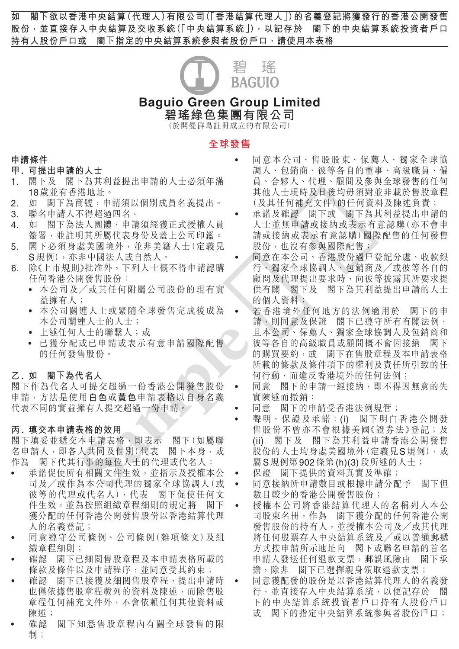

# **Baguio Green Group Limited 碧瑤綠色集團有限公司**

(於開曼群島註冊成立的有限公司)

## **全球發售**

#### **申請條件**

## **甲 . 可提出申請的人士**

- 1. 閣下及 閣下為其利益提出申請的人士必須年滿 18 歲並有香港地址。
- 2. 如 閣下為商號,申請須以個別成員名義提出。
- 3. 聯名申請人不得超過四名。
- 4. 如 閣下為法人團體,申請須經獲正式授權人員 簽署,並註明其所屬代表身份及蓋上公司印鑑。
- 5. 閣下必須身處美國境外,並非美籍人士(定義見 S 規例),亦非中國法人或自然人。
- 6. 除《上市規則》批准外,下列人士概不得申請認購 任何香港公開發售股份:
	- 本公司及╱或其任何附屬公司股份的現有實 益擁有人;
	- 本公司關連人士或緊隨全球發售完成後成為 本公司關連人士的人士;
	- 上述任何人士的聯繫人;或
	- 已獲分配或已申請或表示有意申請國際配售 的任何發售股份。

## **乙 . 如 閣下為代名人**

閣下作為代名人可提交超過一份香港公開發售股份 申請,方法是使用**白色**或**黃色**申請表格以自身名義 代表不同的實益擁有人提交超過一份申請。

## **丙 . 填交本申請表格的效用**

閣下填妥並遞交本申請表格,即表示 閣下(如屬聯 名申請人,即各人共同及個別)代表 閣下本身,或 作為 閣下代其行事的每位人士的代理或代名人:

- 承諾促使所有相關文件生效,並指示及授權本公 司及╱或作為本公司代理的獨家全球協調人(或 彼等的代理或代名人),代表 閣下促使任何文 件生效,並為按照組織章程細則的規定將 閣下 獲分配的任何香港公開發售股份以香港結算代理 人的名義登記;
- 同意遵守公司條例、公司條例(雜項條文)及組 織章程細則;
- 確認 閣下已細閱售股章程及本申請表格所載的 條款及條件以及申請程序,並同意受其約束;
- 確認 閣下已接獲及細閱售股章程,提出申請時 也僅依據售股章程載列的資料及陳述,而除售股 章程任何補充文件外,不會依賴任何其他資料或 陳述;
- 確認 閣下知悉售股章程內有關全球發售的限 制;
- 同意本公司、售股股東、保薦人、獨家全球協 調人、包銷商、彼等各自的董事、高級職員、僱 員、合夥人、代理、顧問及參與全球發售的任何 其他人士現時及日後均毋須對並非載於售股章程 (及其任何補充文件)的任何資料及陳述負責;
- 承諾及確認 閣下或 閣下為其利益提出申請的 人士並無申請或接納或表示有意認購(亦不會申 請或接納或表示有意認購)國際配售的任何發售 股份,也沒有參與國際配售;
- 同意在本公司、香港股份過戶登記分處、收款銀 行、獨家全球協調人、包銷商及╱或彼等各自的 顧問及代理提出要求時,向彼等披露其所要求提 供有關 閣下及 閣下為其利益提出申請的人士 的個人資料;
- 若香港境外任何地方的法例適用於 閣下的申 請,則同意及保證 閣下已遵守所有有關法例, 且本公司、保薦人、獨家全球協調人及包銷商和 彼等各自的高級職員或顧問概不會因接納 閣下 的購買要約,或 閣下在售股章程及本申請表格 所載的條款及條件項下的權利及責任所引致的任 何行動,而違反香港境外的任何法例; 12.<br>18. 聯邦下部部部部署創始所有限公民經濟、大學、開拓下的。 森文及社會、<br>18. 聯合下為不格經過體驗,使用的是一個所有的,使用的是一個開拓的,與不為的,與不為的,與不為的,與不為人可能就是一個關係公司的,與不會的關節下降,而是一個關係公司的,與不會的關節不會。 "我必須與關係的,我必須與關係的,我並往前提出公司的,所以,所以的事業者制造的,並且是我的研究的。 "我们是我们的工作进行有多少。" "我们的"的是,我们的"我们的"

• 同意 閣下的申請一經接納,即不得因無意的失 實陳述而撤銷;

- 同意 閣下的申請受香港法例規管;
- 聲明、保證及承諾:(i) 閣下明白香港公開發 售股份不曾亦不會根據美國《證券法》登記;及 (ii) 閣下及 閣下為其利益申請香港公開發售 股份的人士均身處美國境外(定義見 S 規例),或 屬 S 規例第 902 條第 (h)(3) 段所述的人士;
- 保證 閣下提供的資料真實及準確;
- 同意接納所申請數目或根據申請分配予 閣下但 數目較少的香港公開發售股份;
- 授權本公司將香港結算代理人的名稱列入本公 司股東名冊,作為 閣下獲分配的任何香港公開 發售股份的持有人,並授權本公司及╱或其代理 將任何股票存入中央結算系統及╱或以普通郵遞 方式按申請所示地址向 閣下或聯名申請的首名 申請人發送任何退款支票,郵誤風險由 閣下承 擔,除非 閣下已選擇親身領取退款支票;
	- 同意獲配發的股份是以香港結算代理人的名義發 行,並直接存入中央結算系統,以便記存於 閣 下的中央結算系統投資者戶口持有人股份戶口 或 閣下的指定中央結算系統參與者股份戶口;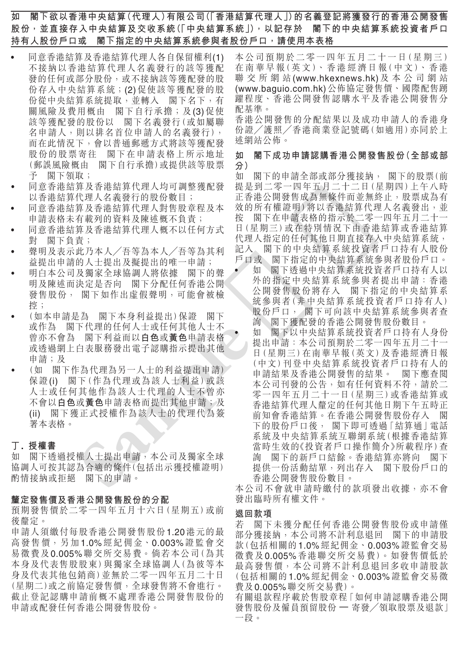- 同意香港結算及香港結算代理人各自保留權利(1) 不接納以香港結算代理人名義發行的該等獲配 發的任何或部分股份,或不接納該等獲配發的股 份存入中央結算系統;(2) 促使該等獲配發的股 份從中央結算系統提取,並轉入 閣下名下,有 關風險及費用概由 閣下自行承擔;及(3)促使 該等獲配發的股份以 閣下名義發行(或如屬聯 名申請人,則以排名首位申請人的名義發行), 而在此情況下,會以普通郵遞方式將該等獲配發 股份的股票寄往 閣下在申請表格上所示地址 (郵誤風險概由 閣下自行承擔)或提供該等股票 予 閣下領取;
- 同意香港結算人理人均可調整獲配發 以香港結算代理人名義發行的股份數目;
- 同意香港結算公理人對售股章程及本 申請表格未有載列的資料及陳述概不負責;
- 同意香港結算及香港結算代理人概不以任何方式 對 閣下負責;
- 聲明及表示此乃本人╱吾等為本人╱吾等為其利 益提出申請的人士提出及擬提出的唯一申請;
- 明白本公司及獨家全球協調人將依據 閣下的聲 明及陳述而決定是否向 閣下分配任何香港公開 發售股份, 閣下如作出虛假聲明,可能會被檢 控;
- (如本申請是為 閣下本身利益提出)保證 閣下 或作為 閣下代理的任何人士或任何其他人士不 曾亦不會為 閣下利益而以**白色**或**黃色**申請表格 或透過網上白表服務發出電子認購指示提出其他 申請;及
- (如 閣下作為代理為另一人士的利益提出申請) 保證 (i) 閣下(作為代理或為該人士利益)或該 人士或任何其他作為該人士代理的人士不曾亦 不會以**白色**或**黃色**申請表格而提出其他申請;及 (ii) 閣下獲正式授權作為該人士的代理代為簽 署本表格。

### **丁 . 授權書**

如 閣下透過授權人士提出申請,本公司及獨家全球 協調人可按其認為合適的條件(包括出示獲授權證明) 酌情接納或拒絕 閣下的申請。

#### **釐定發售價及香港公開發售股份的分配**

預期發售價於二零一四年五月十六日(星期五)或前 後釐定。

申請人須繳付每股香港公開發售股份 1.20 港元的最 高發售價,另加 1.0% 經紀佣金、0.003% 證監會交 易徵費及 0.005% 聯交所交易費。倘若本公司(為其 本身及代表售股股東)與獨家全球協調人(為彼等本 身及代表其他包銷商)並無於二零一四年五月二十日 (星期二)或之前協定發售價,全球發售將不會進行。 截止登記認購申請前概不處理香港公開發售股份的 申請或配發任何香港公開發售股份。

本公司預期於二零一四年五月二十一日(星期三) 在 南 華 早 報(英 文)、香 港 經 濟 日 報(中 文)、香 港 聯 交 所 網 站 (www.hkexnews.hk) 及 本 公 司 網 站 (www.baguio.com.hk) 公佈協定發售價、國際配售踴 躍程度、香港公開發售認購水平及香港公開發售分 配基準。

香港公開發售的分配結果以及成功申請人的香港身 份證╱護照╱香港商業登記號碼(如適用)亦同於上 述網站公佈。

## **如 閣下成功申請認購香港公開發售股份(全部或部 分)**

如 閣下的申請全部或部分獲接納, 閣下的股票(前 提是到二零一四年五月二十二日(星期四)上午八時 正香港公開發售成為無條件而並無終止,股票成為有 效的所有權證明)將以香港結算代理人名義發出,並 按 閣下在申請表格的指示於二零一四年五月二十一 日(星期三)或在特別情況下由香港結算或香港結算 代理人指定的任何其他日期直接存入中央結算系統, 記入 閣下的中央結算系統投資者戶口持有人股份<br>戶口或 閣下指定的中央結算系統參與者股份戶口。 戶口或 閣下指定的中央結算系統參與者股份戶口。

- 如 閣下透過中央結算系統投資者戶口持有人以 外的指定中央結算系統參與者提出申請:香港 公開發售股份將存入 閣下指定的中央結算系 統參與者(非中央結算系統投資者戶口持有人) 股份戶口, 閣下可向該中央結算系統參與者查 詢 閣下獲配發的香港公開發售股份數目。
- 如 閣下以中央結算系統投資者戶口持有人身份 提出申請:本公司預期於二零一四年五月二十一 日(星期三)在南華早報(英文)及香港經濟日報 (中文)刊登中央結算系統投資者戶口持有人的 申請結果及香港公開發售的結果。 閣下應查閱 本公司刊發的公告,如有任何資料不符,請於二 零一四年五月二十一日(星期三)或香港結算或 香港結算代理人釐定的任何其他日期下午五時正 前知會香港結算。在香港公開發售股份存入 閣 下的股份戶口後, 閣下即可透過「結算通」電話 系統及中央結算系統互聯網系統(根據香港結算 當時生效的《投資者戶口操作簡介》所載程序)查 詢 閣下的新戶口結餘。香港結算亦將向 閣下 提供一份活動結單,列出存入 閣下股份戶口的 香港公開發售股份數目。 一段。 **Sample** 樣本

本公司不會就申請時繳付的款項發出收據,亦不會 發出臨時所有權文件。

## **退回款項**

若 閣下未獲分配任何香港公開發售股份或申請僅 部分獲接納,本公司將不計利息退回 閣下的申請股 款(包括相關的 1.0% 經紀佣金、0.003% 證監會交易 徵費及 0.005% 香港聯交所交易費)。如發售價低於 最高發售價,本公司將不計利息退回多收申請股款 (包括相關的 1.0% 經紀佣金、0.003% 證監會交易徵 費及 0.005% 聯交所交易費)。

有關退款程序載於售股章程「如何申請認購香港公開 發售股份及僱員預留股份 — 寄發╱領取股票及退款」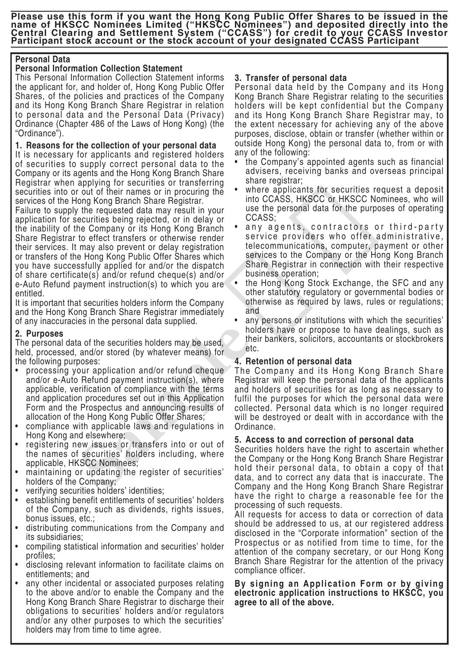## **Personal Data**

# **Personal Information Collection Statement**

This Personal Information Collection Statement informs the applicant for, and holder of, Hong Kong Public Offer Shares, of the policies and practices of the Company and its Hong Kong Branch Share Registrar in relation to personal data and the Personal Data (Privacy) Ordinance (Chapter 486 of the Laws of Hong Kong) (the "Ordinance").

# **1. Reasons for the collection of your personal data**

It is necessary for applicants and registered holders of securities to supply correct personal data to the Company or its agents and the Hong Kong Branch Share Registrar when applying for securities or transferring securities into or out of their names or in procuring the services of the Hong Kong Branch Share Registrar.

Failure to supply the requested data may result in your application for securities being rejected, or in delay or the inability of the Company or its Hong Kong Branch Share Registrar to effect transfers or otherwise render their services. It may also prevent or delay registration or transfers of the Hong Kong Public Offer Shares which you have successfully applied for and/or the dispatch of share certificate(s) and/or refund cheque(s) and/or e-Auto Refund payment instruction(s) to which you are entitled. **Exercise to any deterministration** of the form of CASS. Hence the above that the pubblic to all other than the sample that is a specifical to the above and the above to the above the pubblic to the above the sample to all

It is important that securities holders inform the Company and the Hong Kong Branch Share Registrar immediately of any inaccuracies in the personal data supplied.

# **2. Purposes**

The personal data of the securities holders may be used, held, processed, and/or stored (by whatever means) for the following purposes:

- processing your application and/or refund cheque and/or e-Auto Refund payment instruction(s), where applicable, verification of compliance with the terms and application procedures set out in this Application Form and the Prospectus and announcing results of allocation of the Hong Kong Public Offer Shares;
- compliance with applicable laws and regulations in Hong Kong and elsewhere;
- registering new issues or transfers into or out of the names of securities' holders including, where applicable, HKSCC Nominees;
- maintaining or updating the register of securities' holders of the Company;
- verifying securities holders' identities;
- establishing benefit entitlements of securities' holders of the Company, such as dividends, rights issues, bonus issues, etc.;
- distributing communications from the Company and its subsidiaries;
- compiling statistical information and securities' holder profiles;
- disclosing relevant information to facilitate claims on entitlements; and
- any other incidental or associated purposes relating to the above and/or to enable the Company and the Hong Kong Branch Share Registrar to discharge their obligations to securities' holders and/or regulators and/or any other purposes to which the securities' holders may from time to time agree.

# **3. Transfer of personal data**

Personal data held by the Company and its Hong Kong Branch Share Registrar relating to the securities holders will be kept confidential but the Company and its Hong Kong Branch Share Registrar may, to the extent necessary for achieving any of the above purposes, disclose, obtain or transfer (whether within or outside Hong Kong) the personal data to, from or with any of the following:

- the Company's appointed agents such as financial advisers, receiving banks and overseas principal share registrar;
- where applicants for securities request a deposit into CCASS, HKSCC or HKSCC Nominees, who will use the personal data for the purposes of operating CCASS;
- any agents, contractors or third-party service providers who offer administrative, telecommunications, computer, payment or other services to the Company or the Hong Kong Branch Share Registrar in connection with their respective business operation;
- the Hong Kong Stock Exchange, the SFC and any other statutory regulatory or governmental bodies or otherwise as required by laws, rules or regulations; and
- any persons or institutions with which the securities' holders have or propose to have dealings, such as their bankers, solicitors, accountants or stockbrokers etc.

# **4. Retention of personal data**

The Company and its Hong Kong Branch Share Registrar will keep the personal data of the applicants and holders of securities for as long as necessary to fulfil the purposes for which the personal data were collected. Personal data which is no longer required will be destroyed or dealt with in accordance with the Ordinance.

# **5. Access to and correction of personal data**

Securities holders have the right to ascertain whether the Company or the Hong Kong Branch Share Registrar hold their personal data, to obtain a copy of that data, and to correct any data that is inaccurate. The Company and the Hong Kong Branch Share Registrar have the right to charge a reasonable fee for the processing of such requests.

All requests for access to data or correction of data should be addressed to us, at our registered address disclosed in the "Corporate information" section of the Prospectus or as notified from time to time, for the attention of the company secretary, or our Hong Kong Branch Share Registrar for the attention of the privacy compliance officer.

# **By signing an Application Form or by giving electronic application instructions to HKSCC, you**